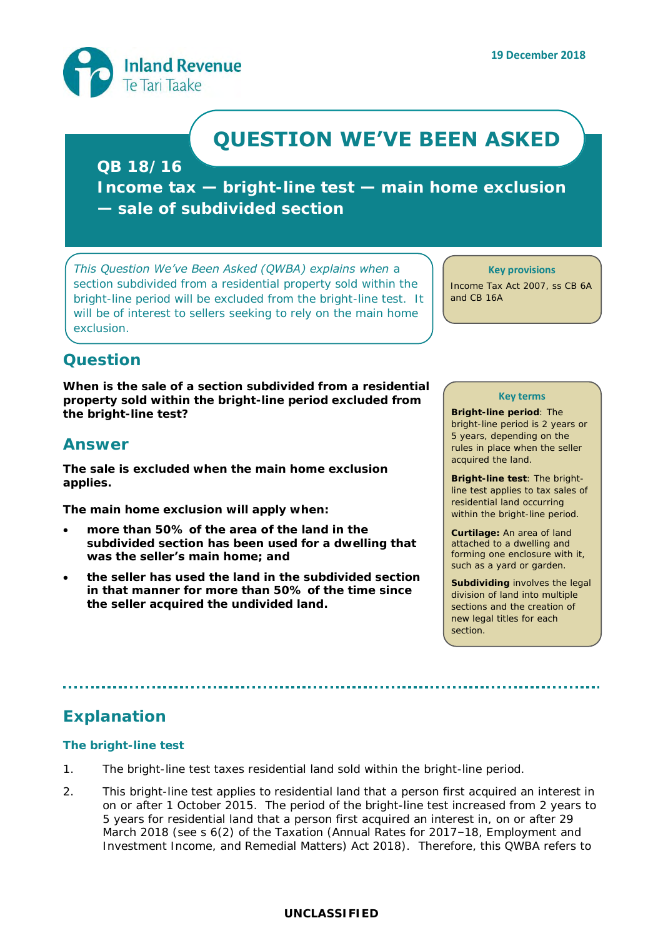

# **QUESTION WE'VE BEEN ASKED**

**QB 18/16**

**Income tax — bright-line test — main home exclusion — sale of subdivided section** 

*This Question We've Been Asked (QWBA) explains when a section subdivided from a residential property sold within the bright-line period will be excluded from the bright-line test. It will be of interest to sellers seeking to rely on the main home exclusion.* 

#### **Key provisions**

Income Tax Act 2007, ss CB 6A and CB 16A

## **Question**

**When is the sale of a section subdivided from a residential property sold within the bright-line period excluded from the bright-line test?**

### **Answer**

**The sale is excluded when the main home exclusion applies.**

**The main home exclusion will apply when:**

- **more than 50% of the area of the land in the subdivided section has been used for a dwelling that was the seller's main home; and**
- **the seller has used the land in the subdivided section in that manner for more than 50% of the time since the seller acquired the undivided land.**

#### **Key terms**

**Bright-line period**: The bright-line period is 2 years or 5 years, depending on the rules in place when the seller acquired the land.

**Bright-line test**: The brightline test applies to tax sales of residential land occurring within the bright-line period.

**Curtilage:** An area of land attached to a dwelling and forming one enclosure with it, such as a yard or garden.

**Subdividing** involves the legal division of land into multiple sections and the creation of new legal titles for each section.

# **Explanation**

#### **The bright-line test**

- 1. The bright-line test taxes residential land sold within the bright-line period.
- 2. This bright-line test applies to residential land that a person first acquired an interest in on or after 1 October 2015. The period of the bright-line test increased from 2 years to 5 years for residential land that a person first acquired an interest in, on or after 29 March 2018 (see s 6(2) of the Taxation (Annual Rates for 2017–18, Employment and Investment Income, and Remedial Matters) Act 2018). Therefore, this QWBA refers to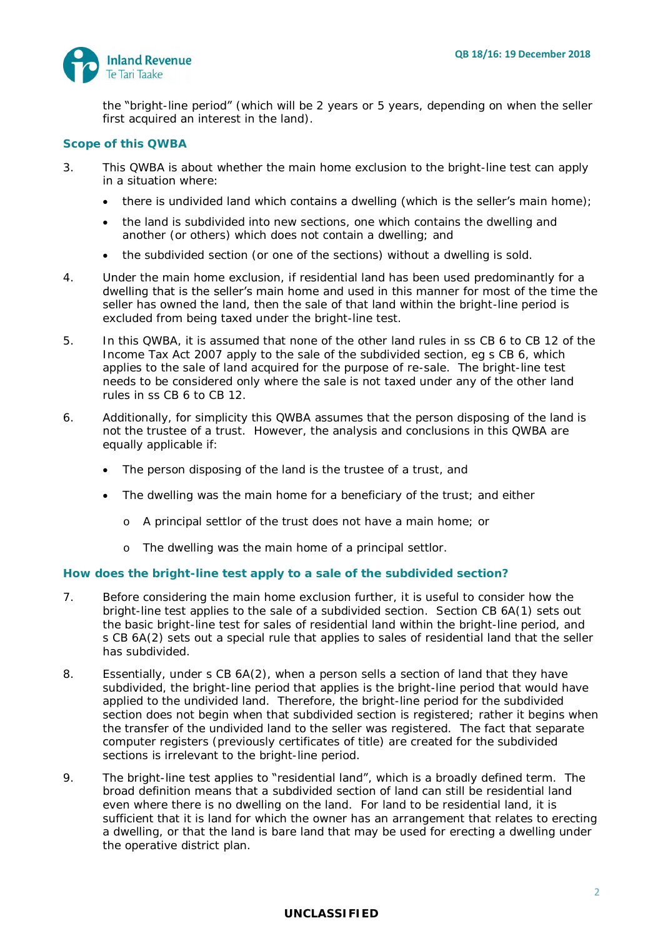

the "bright-line period" (which will be 2 years or 5 years, depending on when the seller first acquired an interest in the land).

#### **Scope of this QWBA**

- 3. This QWBA is about whether the main home exclusion to the bright-line test can apply in a situation where:
	- there is undivided land which contains a dwelling (which is the seller's main home);
	- the land is subdivided into new sections, one which contains the dwelling and another (or others) which does not contain a dwelling; and
	- the subdivided section (or one of the sections) without a dwelling is sold.
- 4. Under the main home exclusion, if residential land has been used predominantly for a dwelling that is the seller's main home and used in this manner for most of the time the seller has owned the land, then the sale of that land within the bright-line period is excluded from being taxed under the bright-line test.
- 5. In this QWBA, it is assumed that none of the other land rules in ss CB 6 to CB 12 of the Income Tax Act 2007 apply to the sale of the subdivided section, eg s CB 6, which applies to the sale of land acquired for the purpose of re-sale. The bright-line test needs to be considered only where the sale is not taxed under any of the other land rules in ss CB 6 to CB 12.
- 6. Additionally, for simplicity this QWBA assumes that the person disposing of the land is not the trustee of a trust. However, the analysis and conclusions in this QWBA are equally applicable if:
	- The person disposing of the land is the trustee of a trust, and
	- The dwelling was the main home for a beneficiary of the trust; and either
		- o A principal settlor of the trust does not have a main home; or
		- o The dwelling was the main home of a principal settlor.

#### **How does the bright-line test apply to a sale of the subdivided section?**

- 7. Before considering the main home exclusion further, it is useful to consider how the bright-line test applies to the sale of a subdivided section. Section CB 6A(1) sets out the basic bright-line test for sales of residential land within the bright-line period, and s CB 6A(2) sets out a special rule that applies to sales of residential land that the seller has subdivided.
- 8. Essentially, under s CB 6A(2), when a person sells a section of land that they have subdivided, the bright-line period that applies is the bright-line period that would have applied to the undivided land. Therefore, the bright-line period for the subdivided section does not begin when that subdivided section is registered; rather it begins when the transfer of the undivided land to the seller was registered. The fact that separate computer registers (previously certificates of title) are created for the subdivided sections is irrelevant to the bright-line period.
- 9. The bright-line test applies to "residential land", which is a broadly defined term. The broad definition means that a subdivided section of land can still be residential land even where there is no dwelling on the land. For land to be residential land, it is sufficient that it is land for which the owner has an arrangement that relates to erecting a dwelling, or that the land is bare land that may be used for erecting a dwelling under the operative district plan.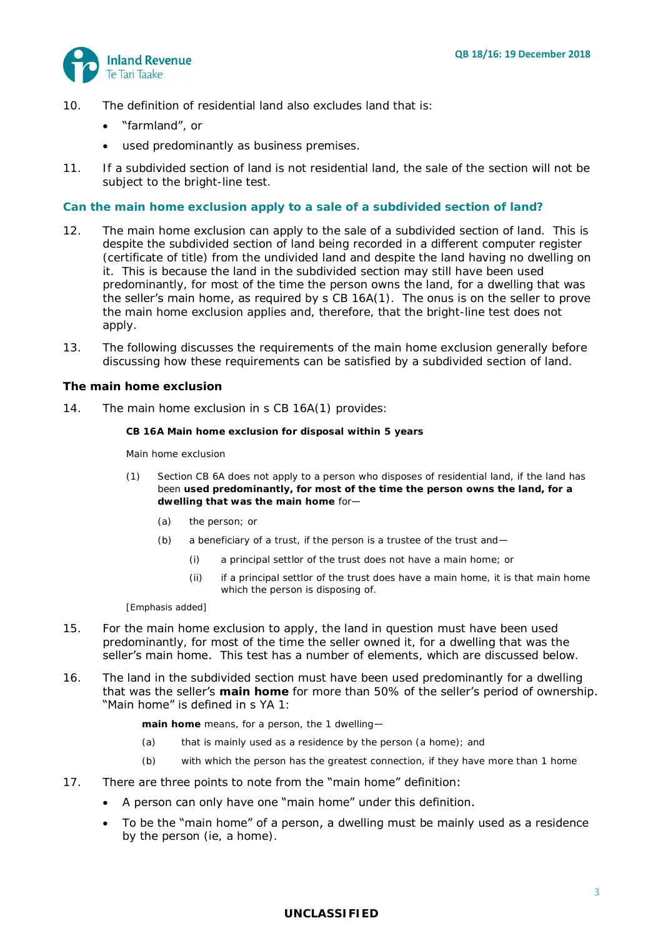

- 10. The definition of residential land also excludes land that is:
	- "farmland", or
	- used predominantly as business premises.
- 11. If a subdivided section of land is not residential land, the sale of the section will not be subject to the bright-line test.

#### **Can the main home exclusion apply to a sale of a subdivided section of land?**

- 12. The main home exclusion can apply to the sale of a subdivided section of land. This is despite the subdivided section of land being recorded in a different computer register (certificate of title) from the undivided land and despite the land having no dwelling on it. This is because the land in the subdivided section may still have been used predominantly, for most of the time the person owns the land, for a dwelling that was the seller's main home, as required by s CB 16A(1). The onus is on the seller to prove the main home exclusion applies and, therefore, that the bright-line test does not apply.
- 13. The following discusses the requirements of the main home exclusion generally before discussing how these requirements can be satisfied by a subdivided section of land.

#### *The main home exclusion*

14. The main home exclusion in s CB 16A(1) provides:

**CB 16A Main home exclusion for disposal within 5 years**

*Main home exclusion*

- (1) Section CB 6A does not apply to a person who disposes of residential land, if the land has been **used predominantly, for most of the time the person owns the land, for a dwelling that was the main home** for—
	- (a) the person; or
	- (b) a beneficiary of a trust, if the person is a trustee of the trust and  $-$ 
		- (i) a principal settlor of the trust does not have a main home; or
		- (ii) if a principal settlor of the trust does have a main home, it is that main home which the person is disposing of.

[Emphasis added]

- 15. For the main home exclusion to apply, the land in question must have been used predominantly, for most of the time the seller owned it, for a dwelling that was the seller's main home. This test has a number of elements, which are discussed below.
- 16. The land in the subdivided section must have been used predominantly for a dwelling that was the seller's **main home** for more than 50% of the seller's period of ownership. "Main home" is defined in s YA 1:

**main home** means, for a person, the 1 dwelling—

- (a) that is mainly used as a residence by the person (a home); and
- (b) with which the person has the greatest connection, if they have more than 1 home
- 17. There are three points to note from the "main home" definition:
	- A person can only have one "main home" under this definition.
	- To be the "main home" of a person, a dwelling must be mainly used as a residence by the person (ie, a home).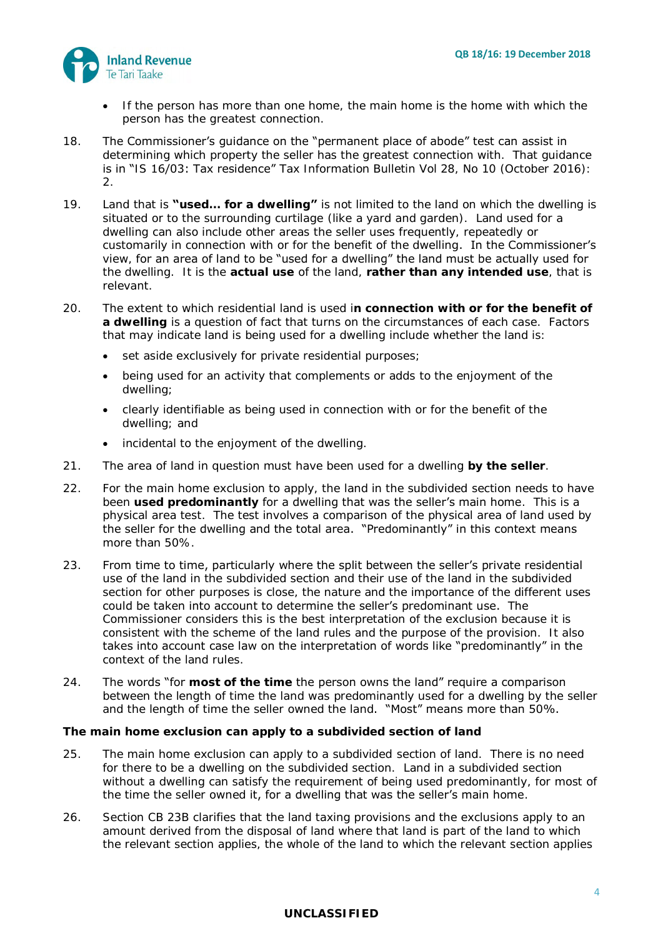

- If the person has more than one home, the main home is the home with which the person has the greatest connection.
- 18. The Commissioner's guidance on the "permanent place of abode" test can assist in determining which property the seller has the greatest connection with. That guidance is in "IS 16/03: Tax residence" *Tax Information Bulletin* Vol 28, No 10 (October 2016): 2.
- 19. Land that is **"used… for a dwelling"** is not limited to the land on which the dwelling is situated or to the surrounding curtilage (like a yard and garden). Land used for a dwelling can also include other areas the seller uses frequently, repeatedly or customarily in connection with or for the benefit of the dwelling. In the Commissioner's view, for an area of land to be "used for a dwelling" the land must be actually used for the dwelling. It is the **actual use** of the land, **rather than any intended use**, that is relevant.
- 20. The extent to which residential land is used i**n connection with or for the benefit of a dwelling** is a question of fact that turns on the circumstances of each case. Factors that may indicate land is being used for a dwelling include whether the land is:
	- set aside exclusively for private residential purposes;
	- being used for an activity that complements or adds to the enjoyment of the dwelling;
	- clearly identifiable as being used in connection with or for the benefit of the dwelling; and
	- incidental to the enjoyment of the dwelling.
- 21. The area of land in question must have been used for a dwelling **by the seller**.
- 22. For the main home exclusion to apply, the land in the subdivided section needs to have been **used predominantly** for a dwelling that was the seller's main home. This is a physical area test. The test involves a comparison of the physical area of land used by the seller for the dwelling and the total area. "Predominantly" in this context means more than 50%.
- 23. From time to time, particularly where the split between the seller's private residential use of the land in the subdivided section and their use of the land in the subdivided section for other purposes is close, the nature and the importance of the different uses could be taken into account to determine the seller's predominant use. The Commissioner considers this is the best interpretation of the exclusion because it is consistent with the scheme of the land rules and the purpose of the provision. It also takes into account case law on the interpretation of words like "predominantly" in the context of the land rules.
- 24. The words "for **most of the time** the person owns the land" require a comparison between the length of time the land was predominantly used for a dwelling by the seller and the length of time the seller owned the land. "Most" means more than 50%.

#### *The main home exclusion can apply to a subdivided section of land*

- 25. The main home exclusion can apply to a subdivided section of land. There is no need for there to be a dwelling on the subdivided section. Land in a subdivided section without a dwelling can satisfy the requirement of being used predominantly, for most of the time the seller owned it, for a dwelling that was the seller's main home.
- 26. Section CB 23B clarifies that the land taxing provisions and the exclusions apply to an amount derived from the disposal of land where that land is part of the land to which the relevant section applies, the whole of the land to which the relevant section applies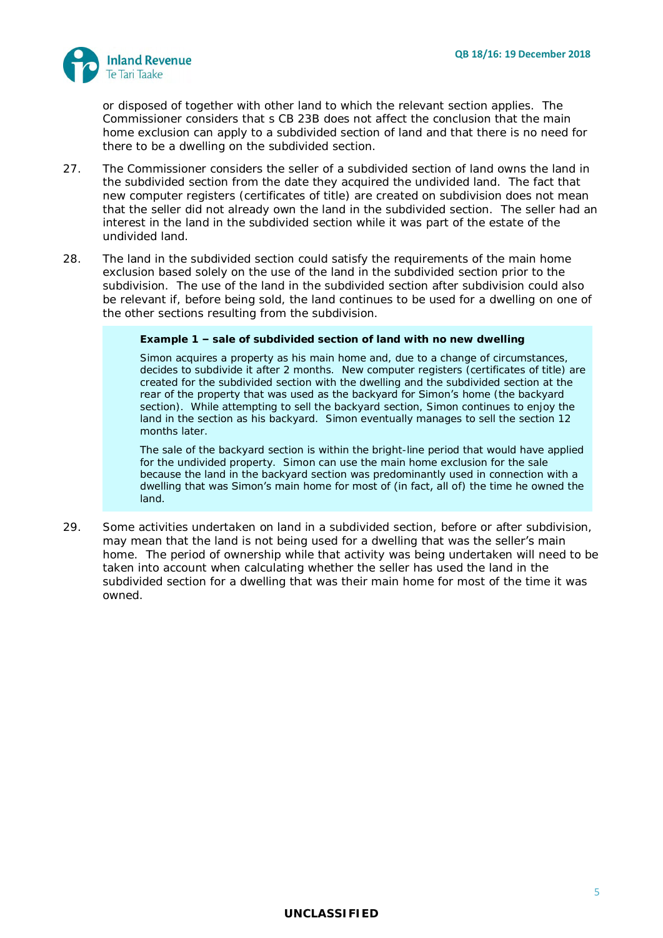

or disposed of together with other land to which the relevant section applies. The Commissioner considers that s CB 23B does not affect the conclusion that the main home exclusion can apply to a subdivided section of land and that there is no need for there to be a dwelling on the subdivided section.

- 27. The Commissioner considers the seller of a subdivided section of land owns the land in the subdivided section from the date they acquired the undivided land. The fact that new computer registers (certificates of title) are created on subdivision does not mean that the seller did not already own the land in the subdivided section. The seller had an interest in the land in the subdivided section while it was part of the estate of the undivided land.
- 28. The land in the subdivided section could satisfy the requirements of the main home exclusion based solely on the use of the land in the subdivided section prior to the subdivision. The use of the land in the subdivided section after subdivision could also be relevant if, before being sold, the land continues to be used for a dwelling on one of the other sections resulting from the subdivision.

**Example 1 – sale of subdivided section of land with no new dwelling**

Simon acquires a property as his main home and, due to a change of circumstances, decides to subdivide it after 2 months. New computer registers (certificates of title) are created for the subdivided section with the dwelling and the subdivided section at the rear of the property that was used as the backyard for Simon's home (the backyard section). While attempting to sell the backyard section, Simon continues to enjoy the land in the section as his backyard. Simon eventually manages to sell the section 12 months later.

The sale of the backyard section is within the bright-line period that would have applied for the undivided property. Simon can use the main home exclusion for the sale because the land in the backyard section was predominantly used in connection with a dwelling that was Simon's main home for most of (in fact, all of) the time he owned the land.

29. Some activities undertaken on land in a subdivided section, before or after subdivision, may mean that the land is not being used for a dwelling that was the seller's main home. The period of ownership while that activity was being undertaken will need to be taken into account when calculating whether the seller has used the land in the subdivided section for a dwelling that was their main home for most of the time it was owned.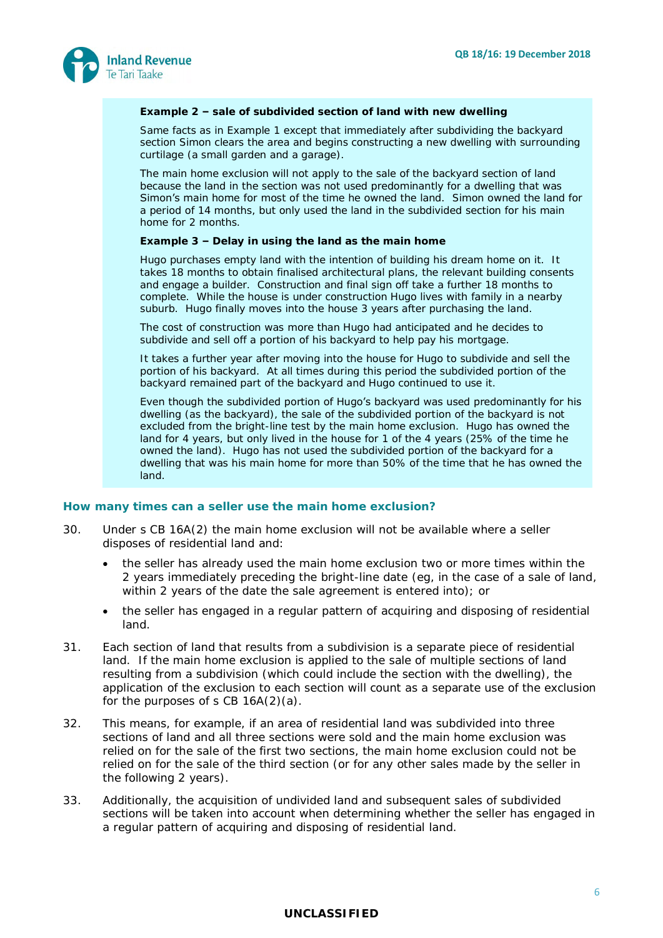

#### **Example 2 – sale of subdivided section of land with new dwelling**

Same facts as in Example 1 except that immediately after subdividing the backyard section Simon clears the area and begins constructing a new dwelling with surrounding curtilage (a small garden and a garage).

The main home exclusion will not apply to the sale of the backyard section of land because the land in the section was not used predominantly for a dwelling that was Simon's main home for most of the time he owned the land. Simon owned the land for a period of 14 months, but only used the land in the subdivided section for his main home for 2 months.

**Example 3 – Delay in using the land as the main home**

Hugo purchases empty land with the intention of building his dream home on it. It takes 18 months to obtain finalised architectural plans, the relevant building consents and engage a builder. Construction and final sign off take a further 18 months to complete. While the house is under construction Hugo lives with family in a nearby suburb. Hugo finally moves into the house 3 years after purchasing the land.

The cost of construction was more than Hugo had anticipated and he decides to subdivide and sell off a portion of his backyard to help pay his mortgage.

It takes a further year after moving into the house for Hugo to subdivide and sell the portion of his backyard. At all times during this period the subdivided portion of the backyard remained part of the backyard and Hugo continued to use it.

Even though the subdivided portion of Hugo's backyard was used predominantly for his dwelling (as the backyard), the sale of the subdivided portion of the backyard is not excluded from the bright-line test by the main home exclusion. Hugo has owned the land for 4 years, but only lived in the house for 1 of the 4 years (25% of the time he owned the land). Hugo has not used the subdivided portion of the backyard for a dwelling that was his main home for more than 50% of the time that he has owned the land.

#### **How many times can a seller use the main home exclusion?**

- 30. Under s CB 16A(2) the main home exclusion will not be available where a seller disposes of residential land and:
	- the seller has already used the main home exclusion two or more times within the 2 years immediately preceding the bright-line date (eg, in the case of a sale of land, within 2 years of the date the sale agreement is entered into); or
	- the seller has engaged in a regular pattern of acquiring and disposing of residential land.
- 31. Each section of land that results from a subdivision is a separate piece of residential land. If the main home exclusion is applied to the sale of multiple sections of land resulting from a subdivision (which could include the section with the dwelling), the application of the exclusion to each section will count as a separate use of the exclusion for the purposes of  $s$  CB  $16A(2)(a)$ .
- 32. This means, for example, if an area of residential land was subdivided into three sections of land and all three sections were sold and the main home exclusion was relied on for the sale of the first two sections, the main home exclusion could not be relied on for the sale of the third section (or for any other sales made by the seller in the following 2 years).
- 33. Additionally, the acquisition of undivided land and subsequent sales of subdivided sections will be taken into account when determining whether the seller has engaged in a regular pattern of acquiring and disposing of residential land.